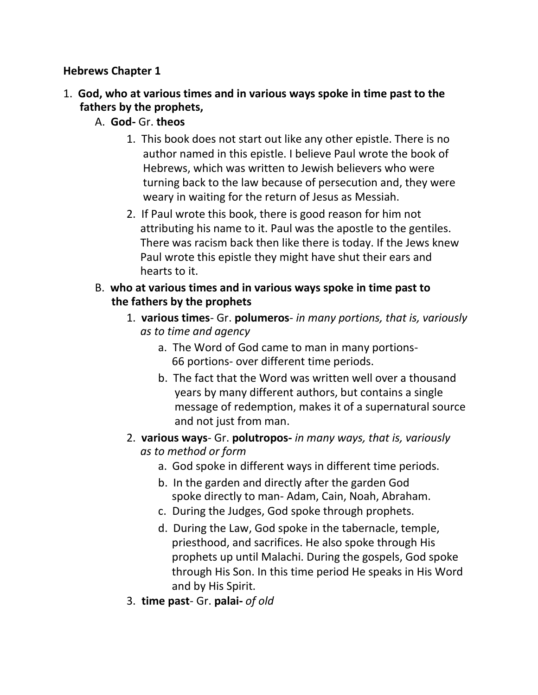#### **Hebrews Chapter 1**

- 1. **God, who at various times and in various ways spoke in time past to the fathers by the prophets,**
	- A. **God-** Gr. **theos**
		- 1. This book does not start out like any other epistle. There is no author named in this epistle. I believe Paul wrote the book of Hebrews, which was written to Jewish believers who were turning back to the law because of persecution and, they were weary in waiting for the return of Jesus as Messiah.
		- 2. If Paul wrote this book, there is good reason for him not attributing his name to it. Paul was the apostle to the gentiles. There was racism back then like there is today. If the Jews knew Paul wrote this epistle they might have shut their ears and hearts to it.
	- B. **who at various times and in various ways spoke in time past to the fathers by the prophets**
		- 1. **various times** Gr. **polumeros** *in many portions, that is, variously as to time and agency*
			- a. The Word of God came to man in many portions- 66 portions- over different time periods.
			- b. The fact that the Word was written well over a thousand years by many different authors, but contains a single message of redemption, makes it of a supernatural source and not just from man.
		- 2. **various ways** Gr. **polutropos-** *in many ways, that is, variously as to method or form*
			- a. God spoke in different ways in different time periods.
			- b. In the garden and directly after the garden God spoke directly to man- Adam, Cain, Noah, Abraham.
			- c. During the Judges, God spoke through prophets.
			- d. During the Law, God spoke in the tabernacle, temple, priesthood, and sacrifices. He also spoke through His prophets up until Malachi. During the gospels, God spoke through His Son. In this time period He speaks in His Word and by His Spirit.
		- 3. **time past** Gr. **palai-** *of old*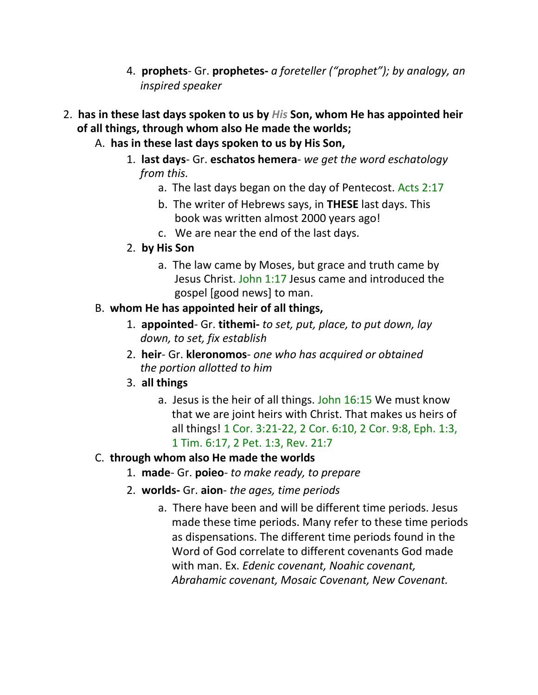- 4. **prophets** Gr. **prophetes-** *a foreteller ("prophet"); by analogy, an inspired speaker*
- 2. **has in these last days spoken to us by** *His* **Son, whom He has appointed heir of all things, through whom also He made the worlds;**
	- A. **has in these last days spoken to us by His Son,**
		- 1. **last days** Gr. **eschatos hemera** *we get the word eschatology from this.*
			- a. The last days began on the day of Pentecost. Acts 2:17
			- b. The writer of Hebrews says, in **THESE** last days. This book was written almost 2000 years ago!
			- c. We are near the end of the last days.
		- 2. **by His Son**
			- a. The law came by Moses, but grace and truth came by Jesus Christ. John 1:17 Jesus came and introduced the gospel [good news] to man.

# B. **whom He has appointed heir of all things,**

- 1. **appointed** Gr. **tithemi-** *to set, put, place, to put down, lay down, to set, fix establish*
- 2. **heir** Gr. **kleronomos** *one who has acquired or obtained the portion allotted to him*
- 3. **all things**
	- a. Jesus is the heir of all things. John 16:15 We must know that we are joint heirs with Christ. That makes us heirs of all things! 1 Cor. 3:21-22, 2 Cor. 6:10, 2 Cor. 9:8, Eph. 1:3, 1 Tim. 6:17, 2 Pet. 1:3, Rev. 21:7

## C. **through whom also He made the worlds**

- 1. **made** Gr. **poieo** *to make ready, to prepare*
- 2. **worlds-** Gr. **aion** *the ages, time periods*
	- a. There have been and will be different time periods. Jesus made these time periods. Many refer to these time periods as dispensations. The different time periods found in the Word of God correlate to different covenants God made with man. Ex. *Edenic covenant, Noahic covenant, Abrahamic covenant, Mosaic Covenant, New Covenant.*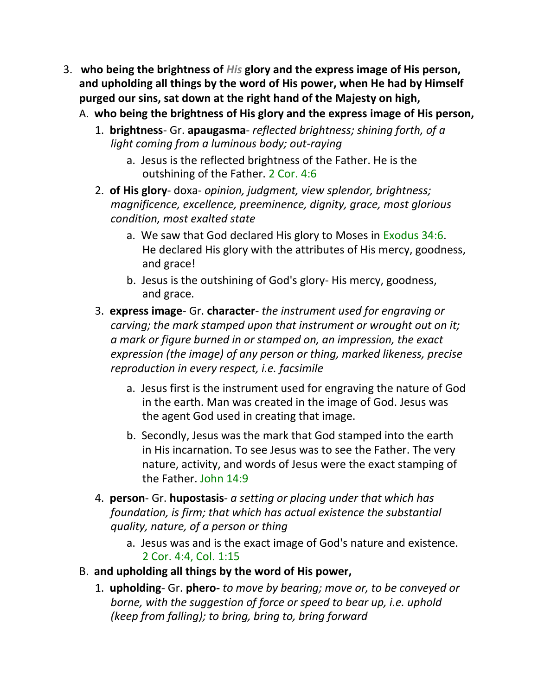- 3. **who being the brightness of** *His* **glory and the express image of His person, and upholding all things by the word of His power, when He had by Himself purged our sins, sat down at the right hand of the Majesty on high,**
	- A. **who being the brightness of His glory and the express image of His person,**
		- 1. **brightness** Gr. **apaugasma** *reflected brightness; shining forth, of a light coming from a luminous body; out-raying*
			- a. Jesus is the reflected brightness of the Father. He is the outshining of the Father. 2 Cor. 4:6
		- 2. **of His glory** doxa- *opinion, judgment, view splendor, brightness; magnificence, excellence, preeminence, dignity, grace, most glorious condition, most exalted state*
			- a. We saw that God declared His glory to Moses in Exodus 34:6. He declared His glory with the attributes of His mercy, goodness, and grace!
			- b. Jesus is the outshining of God's glory- His mercy, goodness, and grace.
		- 3. **express image** Gr. **character** *the instrument used for engraving or carving; the mark stamped upon that instrument or wrought out on it; a mark or figure burned in or stamped on, an impression, the exact expression (the image) of any person or thing, marked likeness, precise reproduction in every respect, i.e. facsimile*
			- a. Jesus first is the instrument used for engraving the nature of God in the earth. Man was created in the image of God. Jesus was the agent God used in creating that image.
			- b. Secondly, Jesus was the mark that God stamped into the earth in His incarnation. To see Jesus was to see the Father. The very nature, activity, and words of Jesus were the exact stamping of the Father. John 14:9
		- 4. **person** Gr. **hupostasis** *a setting or placing under that which has foundation, is firm; that which has actual existence the substantial quality, nature, of a person or thing*
			- a. Jesus was and is the exact image of God's nature and existence. 2 Cor. 4:4, Col. 1:15
	- B. **and upholding all things by the word of His power,**
		- 1. **upholding** Gr. **phero-** *to move by bearing; move or, to be conveyed or borne, with the suggestion of force or speed to bear up, i.e. uphold (keep from falling); to bring, bring to, bring forward*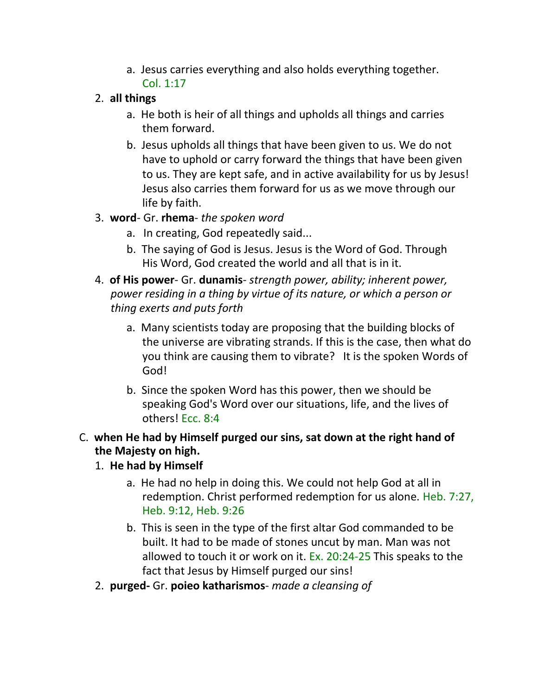a. Jesus carries everything and also holds everything together. Col. 1:17

## 2. **all things**

- a. He both is heir of all things and upholds all things and carries them forward.
- b. Jesus upholds all things that have been given to us. We do not have to uphold or carry forward the things that have been given to us. They are kept safe, and in active availability for us by Jesus! Jesus also carries them forward for us as we move through our life by faith.

# 3. **word**- Gr. **rhema**- *the spoken word*

- a. In creating, God repeatedly said...
- b. The saying of God is Jesus. Jesus is the Word of God. Through His Word, God created the world and all that is in it.
- 4. **of His power** Gr. **dunamis** *strength power, ability; inherent power, power residing in a thing by virtue of its nature, or which a person or thing exerts and puts forth*
	- a. Many scientists today are proposing that the building blocks of the universe are vibrating strands. If this is the case, then what do you think are causing them to vibrate? It is the spoken Words of God!
	- b. Since the spoken Word has this power, then we should be speaking God's Word over our situations, life, and the lives of others! Ecc. 8:4

# C. **when He had by Himself purged our sins, sat down at the right hand of the Majesty on high.**

# 1. **He had by Himself**

- a. He had no help in doing this. We could not help God at all in redemption. Christ performed redemption for us alone. Heb. 7:27, Heb. 9:12, Heb. 9:26
- b. This is seen in the type of the first altar God commanded to be built. It had to be made of stones uncut by man. Man was not allowed to touch it or work on it. Ex. 20:24-25 This speaks to the fact that Jesus by Himself purged our sins!
- 2. **purged-** Gr. **poieo katharismos** *made a cleansing of*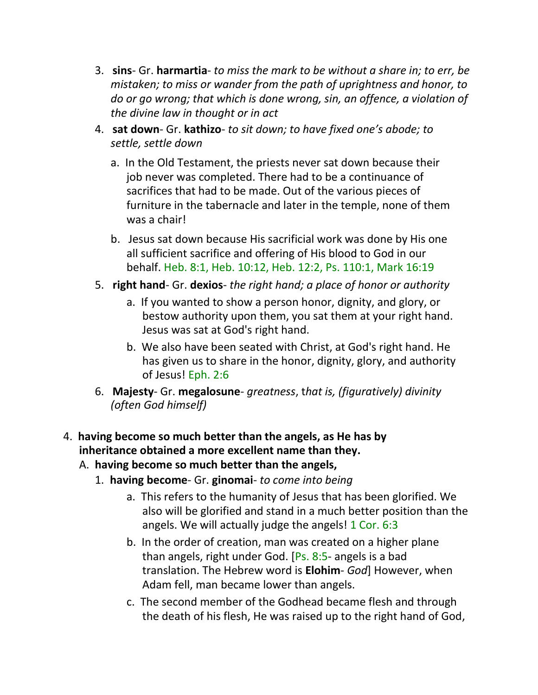- 3. **sins** Gr. **harmartia** *to miss the mark to be without a share in; to err, be mistaken; to miss or wander from the path of uprightness and honor, to do or go wrong; that which is done wrong, sin, an offence, a violation of the divine law in thought or in act*
- 4. **sat down** Gr. **kathizo** *to sit down; to have fixed one's abode; to settle, settle down*
	- a. In the Old Testament, the priests never sat down because their job never was completed. There had to be a continuance of sacrifices that had to be made. Out of the various pieces of furniture in the tabernacle and later in the temple, none of them was a chair!
	- b. Jesus sat down because His sacrificial work was done by His one all sufficient sacrifice and offering of His blood to God in our behalf. Heb. 8:1, Heb. 10:12, Heb. 12:2, Ps. 110:1, Mark 16:19
- 5. **right hand** Gr. **dexios** *the right hand; a place of honor or authority*
	- a. If you wanted to show a person honor, dignity, and glory, or bestow authority upon them, you sat them at your right hand. Jesus was sat at God's right hand.
	- b. We also have been seated with Christ, at God's right hand. He has given us to share in the honor, dignity, glory, and authority of Jesus! Eph. 2:6
- 6. **Majesty** Gr. **megalosune** *greatness*, t*hat is, (figuratively) divinity (often God himself)*

# 4. **having become so much better than the angels, as He has by inheritance obtained a more excellent name than they.**

- A. **having become so much better than the angels,**
	- 1. **having become** Gr. **ginomai** *to come into being*
		- a. This refers to the humanity of Jesus that has been glorified. We also will be glorified and stand in a much better position than the angels. We will actually judge the angels! 1 Cor. 6:3
		- b. In the order of creation, man was created on a higher plane than angels, right under God. [Ps. 8:5- angels is a bad translation. The Hebrew word is **Elohim**- *God*] However, when Adam fell, man became lower than angels.
		- c. The second member of the Godhead became flesh and through the death of his flesh, He was raised up to the right hand of God,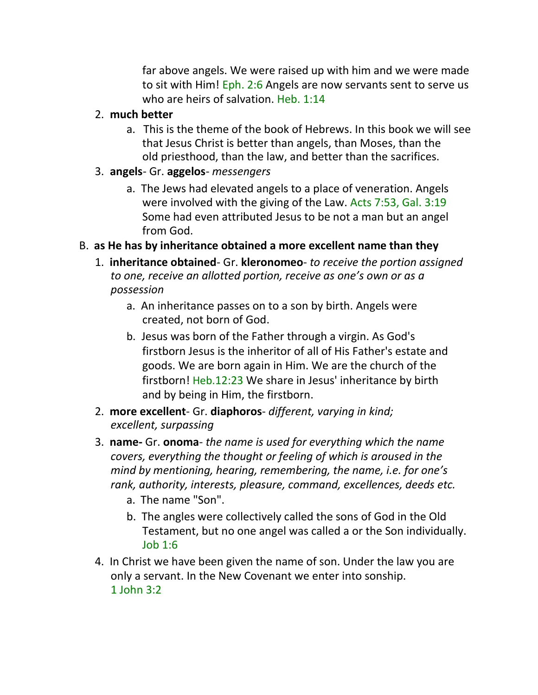far above angels. We were raised up with him and we were made to sit with Him! Eph. 2:6 Angels are now servants sent to serve us who are heirs of salvation. Heb. 1:14

- 2. **much better**
	- a. This is the theme of the book of Hebrews. In this book we will see that Jesus Christ is better than angels, than Moses, than the old priesthood, than the law, and better than the sacrifices.
- 3. **angels** Gr. **aggelos** *messengers*
	- a. The Jews had elevated angels to a place of veneration. Angels were involved with the giving of the Law. Acts 7:53, Gal. 3:19 Some had even attributed Jesus to be not a man but an angel from God.
- B. **as He has by inheritance obtained a more excellent name than they**
	- 1. **inheritance obtained** Gr. **kleronomeo** *to receive the portion assigned to one, receive an allotted portion, receive as one's own or as a possession*
		- a. An inheritance passes on to a son by birth. Angels were created, not born of God.
		- b. Jesus was born of the Father through a virgin. As God's firstborn Jesus is the inheritor of all of His Father's estate and goods. We are born again in Him. We are the church of the firstborn! Heb.12:23 We share in Jesus' inheritance by birth and by being in Him, the firstborn.
	- 2. **more excellent** Gr. **diaphoros** *different, varying in kind; excellent, surpassing*
	- 3. **name-** Gr. **onoma** *the name is used for everything which the name covers, everything the thought or feeling of which is aroused in the mind by mentioning, hearing, remembering, the name, i.e. for one's rank, authority, interests, pleasure, command, excellences, deeds etc.*
		- a. The name "Son".
		- b. The angles were collectively called the sons of God in the Old Testament, but no one angel was called a or the Son individually. Job 1:6
	- 4. In Christ we have been given the name of son. Under the law you are only a servant. In the New Covenant we enter into sonship. 1 John 3:2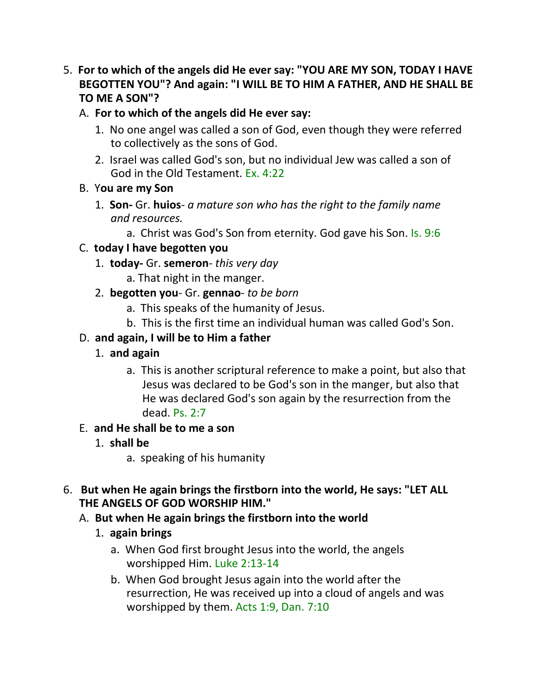5. **For to which of the angels did He ever say: "YOU ARE MY SON, TODAY I HAVE BEGOTTEN YOU"? And again: "I WILL BE TO HIM A FATHER, AND HE SHALL BE TO ME A SON"?**

## A. **For to which of the angels did He ever say:**

- 1. No one angel was called a son of God, even though they were referred to collectively as the sons of God.
- 2. Israel was called God's son, but no individual Jew was called a son of God in the Old Testament. Ex. 4:22

## B. Y**ou are my Son**

- 1. **Son-** Gr. **huios** *a mature son who has the right to the family name and resources.*
	- a. Christ was God's Son from eternity. God gave his Son. Is. 9:6

# C. **today I have begotten you**

- 1. **today-** Gr. **semeron** *this very day*
	- a. That night in the manger.
- 2. **begotten you** Gr. **gennao** *to be born*
	- a. This speaks of the humanity of Jesus.
	- b. This is the first time an individual human was called God's Son.

# D. **and again, I will be to Him a father**

- 1. **and again**
	- a. This is another scriptural reference to make a point, but also that Jesus was declared to be God's son in the manger, but also that He was declared God's son again by the resurrection from the dead. Ps. 2:7

## E. **and He shall be to me a son**

- 1. **shall be**
	- a. speaking of his humanity

## 6. **But when He again brings the firstborn into the world, He says: "LET ALL THE ANGELS OF GOD WORSHIP HIM."**

# A. **But when He again brings the firstborn into the world**

- 1. **again brings**
	- a. When God first brought Jesus into the world, the angels worshipped Him. Luke 2:13-14
	- b. When God brought Jesus again into the world after the resurrection, He was received up into a cloud of angels and was worshipped by them. Acts 1:9, Dan. 7:10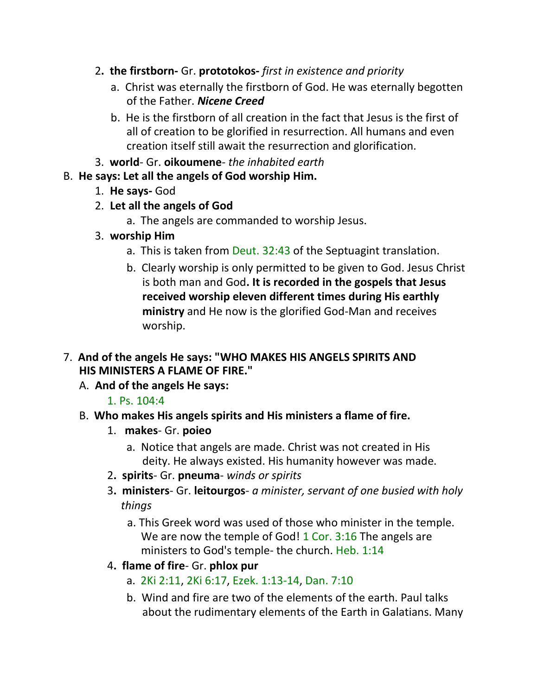- 2**. the firstborn-** Gr. **prototokos-** *first in existence and priority*
	- a. Christ was eternally the firstborn of God. He was eternally begotten of the Father. *Nicene Creed*
	- b. He is the firstborn of all creation in the fact that Jesus is the first of all of creation to be glorified in resurrection. All humans and even creation itself still await the resurrection and glorification.
- 3. **world** Gr. **oikoumene** *the inhabited earth*

## B. **He says: Let all the angels of God worship Him.**

- 1. **He says-** God
- 2. **Let all the angels of God**
	- a. The angels are commanded to worship Jesus.
- 3. **worship Him**
	- a. This is taken from Deut. 32:43 of the Septuagint translation.
	- b. Clearly worship is only permitted to be given to God. Jesus Christ is both man and God**. It is recorded in the gospels that Jesus received worship eleven different times during His earthly ministry** and He now is the glorified God-Man and receives worship.
- 7. **And of the angels He says: "WHO MAKES HIS ANGELS SPIRITS AND HIS MINISTERS A FLAME OF FIRE."**
	- A. **And of the angels He says:**

# 1. Ps. 104:4

- B. **Who makes His angels spirits and His ministers a flame of fire.**
	- 1. **makes** Gr. **poieo**
		- a. Notice that angels are made. Christ was not created in His deity. He always existed. His humanity however was made.
	- 2**. spirits** Gr. **pneuma** *winds or spirits*
	- 3**. ministers** Gr. **leitourgos** *a minister, servant of one busied with holy things*
		- a. This Greek word was used of those who minister in the temple. We are now the temple of God! 1 Cor. 3:16 The angels are ministers to God's temple- the church. Heb. 1:14
	- 4**. flame of fire** Gr. **phlox pur**
		- a. 2Ki 2:11, 2Ki 6:17, Ezek. 1:13-14, Dan. 7:10
		- b. Wind and fire are two of the elements of the earth. Paul talks about the rudimentary elements of the Earth in Galatians. Many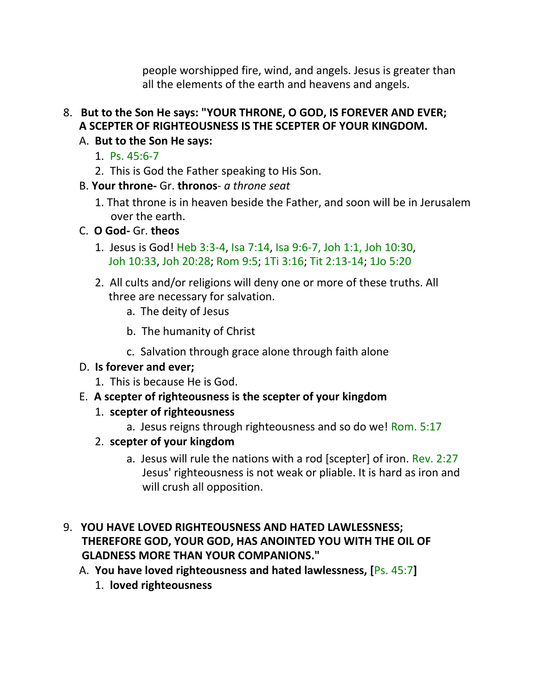people worshipped fire, wind, and angels. Jesus is greater than all the elements of the earth and heavens and angels.

- 8. **But to the Son He says: "YOUR THRONE, O GOD, IS FOREVER AND EVER; A SCEPTER OF RIGHTEOUSNESS IS THE SCEPTER OF YOUR KINGDOM.**
	- A. **But to the Son He says:**
		- 1. Ps. 45:6-7
		- 2. This is God the Father speaking to His Son.
	- B. **Your throne-** Gr. **thronos** *a throne seat*
		- 1. That throne is in heaven beside the Father, and soon will be in Jerusalem over the earth.
	- C. **O God-** Gr. **theos**
		- 1. Jesus is God! Heb 3:3-4, Isa 7:14, Isa 9:6-7, Joh 1:1, Joh 10:30, Joh 10:33, Joh 20:28; Rom 9:5; 1Ti 3:16; Tit 2:13-14; 1Jo 5:20
		- 2. All cults and/or religions will deny one or more of these truths. All three are necessary for salvation.
			- a. The deity of Jesus
			- b. The humanity of Christ
			- c. Salvation through grace alone through faith alone
	- D. **Is forever and ever;**
		- 1. This is because He is God.
	- E. **A scepter of righteousness is the scepter of your kingdom**
		- 1. **scepter of righteousness**
			- a. Jesus reigns through righteousness and so do we! Rom. 5:17
		- 2. **scepter of your kingdom**
			- a. Jesus will rule the nations with a rod [scepter] of iron. Rev. 2:27 Jesus' righteousness is not weak or pliable. It is hard as iron and will crush all opposition.
- 9. **YOU HAVE LOVED RIGHTEOUSNESS AND HATED LAWLESSNESS; THEREFORE GOD, YOUR GOD, HAS ANOINTED YOU WITH THE OIL OF GLADNESS MORE THAN YOUR COMPANIONS."**
	- A. **You have loved righteousness and hated lawlessness, [**Ps. 45:7**]**
		- 1. **loved righteousness**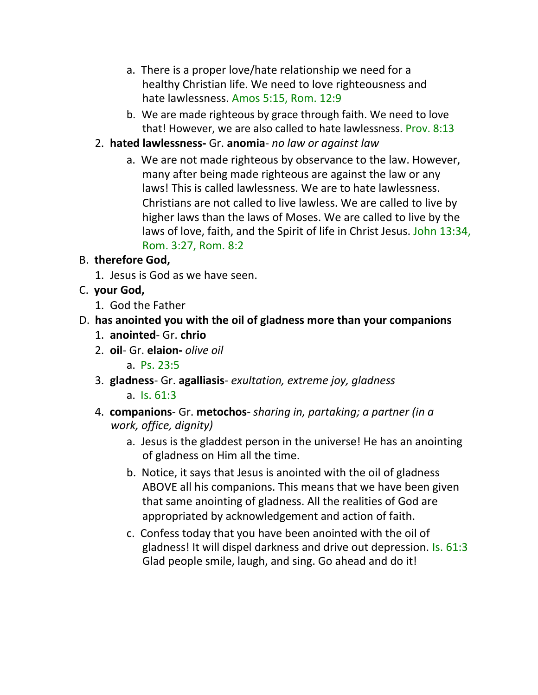- a. There is a proper love/hate relationship we need for a healthy Christian life. We need to love righteousness and hate lawlessness. Amos 5:15, Rom. 12:9
- b. We are made righteous by grace through faith. We need to love that! However, we are also called to hate lawlessness. Prov. 8:13
- 2. **hated lawlessness-** Gr. **anomia** *no law or against law*
	- a. We are not made righteous by observance to the law. However, many after being made righteous are against the law or any laws! This is called lawlessness. We are to hate lawlessness. Christians are not called to live lawless. We are called to live by higher laws than the laws of Moses. We are called to live by the laws of love, faith, and the Spirit of life in Christ Jesus. John 13:34, Rom. 3:27, Rom. 8:2

# B. **therefore God,**

1. Jesus is God as we have seen.

# C. **your God,**

1. God the Father

# D. **has anointed you with the oil of gladness more than your companions**

- 1. **anointed** Gr. **chrio**
- 2. **oil** Gr. **elaion-** *olive oil*
	- a. Ps. 23:5
- 3. **gladness** Gr. **agalliasis** *exultation, extreme joy, gladness* a. Is. 61:3
- 4. **companions** Gr. **metochos** *sharing in, partaking; a partner (in a work, office, dignity)*
	- a. Jesus is the gladdest person in the universe! He has an anointing of gladness on Him all the time.
	- b. Notice, it says that Jesus is anointed with the oil of gladness ABOVE all his companions. This means that we have been given that same anointing of gladness. All the realities of God are appropriated by acknowledgement and action of faith.
	- c. Confess today that you have been anointed with the oil of gladness! It will dispel darkness and drive out depression. Is. 61:3 Glad people smile, laugh, and sing. Go ahead and do it!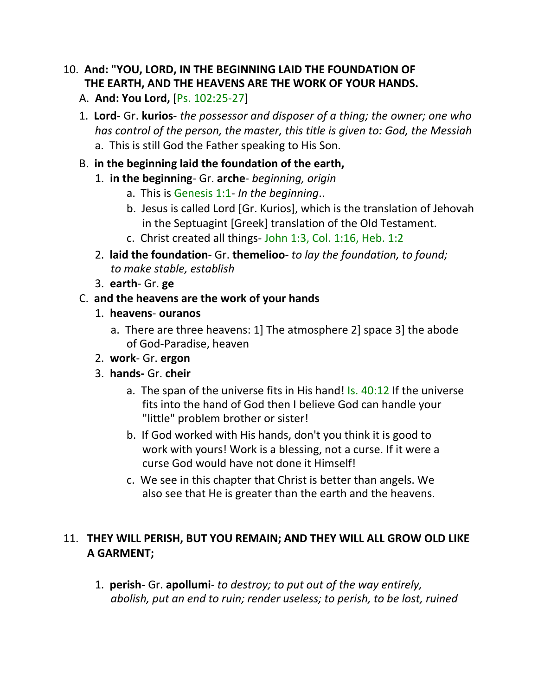# 10. **And: "YOU, LORD, IN THE BEGINNING LAID THE FOUNDATION OF THE EARTH, AND THE HEAVENS ARE THE WORK OF YOUR HANDS.**

- A. **And: You Lord,** [Ps. 102:25-27]
- 1. **Lord** Gr. **kurios** *the possessor and disposer of a thing; the owner; one who has control of the person, the master, this title is given to: God, the Messiah*  a. This is still God the Father speaking to His Son.

#### B. **in the beginning laid the foundation of the earth,**

- 1. **in the beginning** Gr. **arche** *beginning, origin*
	- a. This is Genesis 1:1- *In the beginning*..
	- b. Jesus is called Lord [Gr. Kurios], which is the translation of Jehovah in the Septuagint [Greek] translation of the Old Testament.
	- c. Christ created all things- John 1:3, Col. 1:16, Heb. 1:2
- 2. **laid the foundation** Gr. **themelioo** *to lay the foundation, to found; to make stable, establish*
- 3. **earth** Gr. **ge**

#### C. **and the heavens are the work of your hands**

- 1. **heavens ouranos**
	- a. There are three heavens: 1] The atmosphere 2] space 3] the abode of God-Paradise, heaven
- 2. **work** Gr. **ergon**
- 3. **hands-** Gr. **cheir**
	- a. The span of the universe fits in His hand! Is. 40:12 If the universe fits into the hand of God then I believe God can handle your "little" problem brother or sister!
	- b. If God worked with His hands, don't you think it is good to work with yours! Work is a blessing, not a curse. If it were a curse God would have not done it Himself!
	- c. We see in this chapter that Christ is better than angels. We also see that He is greater than the earth and the heavens.

## 11. **THEY WILL PERISH, BUT YOU REMAIN; AND THEY WILL ALL GROW OLD LIKE A GARMENT;**

1. **perish-** Gr. **apollumi**- *to destroy; to put out of the way entirely, abolish, put an end to ruin; render useless; to perish, to be lost, ruined*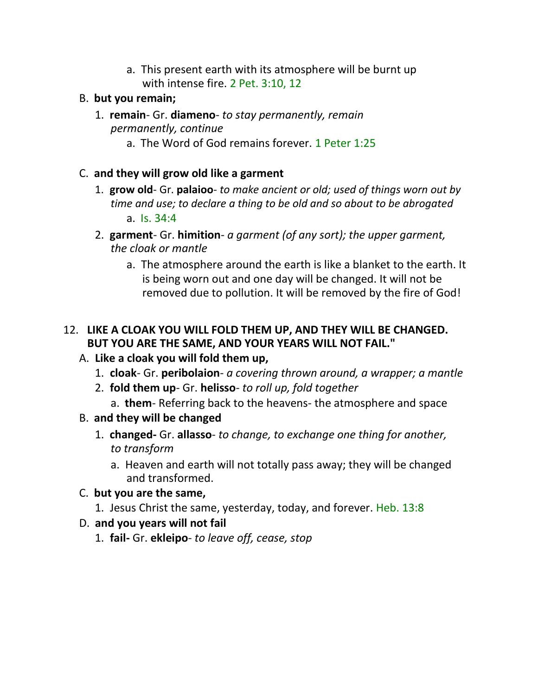a. This present earth with its atmosphere will be burnt up with intense fire. 2 Pet. 3:10, 12

#### B. **but you remain;**

- 1. **remain** Gr. **diameno** *to stay permanently, remain permanently, continue*
	- a. The Word of God remains forever. 1 Peter 1:25
- C. **and they will grow old like a garment**
	- 1. **grow old** Gr. **palaioo** *to make ancient or old; used of things worn out by time and use; to declare a thing to be old and so about to be abrogated* a. Is. 34:4
	- 2. **garment** Gr. **himition** *a garment (of any sort); the upper garment, the cloak or mantle*
		- a. The atmosphere around the earth is like a blanket to the earth. It is being worn out and one day will be changed. It will not be removed due to pollution. It will be removed by the fire of God!

#### 12. **LIKE A CLOAK YOU WILL FOLD THEM UP, AND THEY WILL BE CHANGED. BUT YOU ARE THE SAME, AND YOUR YEARS WILL NOT FAIL."**

## A. **Like a cloak you will fold them up,**

- 1. **cloak** Gr. **peribolaion** *a covering thrown around, a wrapper; a mantle*
- 2. **fold them up** Gr. **helisso** *to roll up, fold together*
	- a. **them** Referring back to the heavens- the atmosphere and space
- B. **and they will be changed**
	- 1. **changed-** Gr. **allasso** *to change, to exchange one thing for another, to transform*
		- a. Heaven and earth will not totally pass away; they will be changed and transformed.

## C. **but you are the same,**

1. Jesus Christ the same, yesterday, today, and forever. Heb. 13:8

## D. **and you years will not fail**

1. **fail-** Gr. **ekleipo**- *to leave off, cease, stop*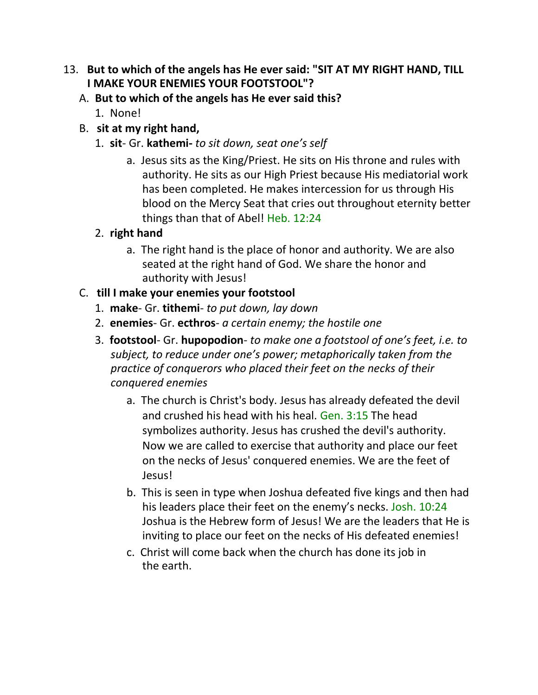#### 13. **But to which of the angels has He ever said: "SIT AT MY RIGHT HAND, TILL I MAKE YOUR ENEMIES YOUR FOOTSTOOL"?**

- A. **But to which of the angels has He ever said this?**
	- 1. None!
- B. **sit at my right hand,**
	- 1. **sit** Gr. **kathemi-** *to sit down, seat one's self*
		- a. Jesus sits as the King/Priest. He sits on His throne and rules with authority. He sits as our High Priest because His mediatorial work has been completed. He makes intercession for us through His blood on the Mercy Seat that cries out throughout eternity better things than that of Abel! Heb. 12:24

# 2. **right hand**

a. The right hand is the place of honor and authority. We are also seated at the right hand of God. We share the honor and authority with Jesus!

# C. **till I make your enemies your footstool**

- 1. **make** Gr. **tithemi** *to put down, lay down*
- 2. **enemies** Gr. **ecthros** *a certain enemy; the hostile one*
- 3. **footstool** Gr. **hupopodion** *to make one a footstool of one's feet, i.e. to subject, to reduce under one's power; metaphorically taken from the practice of conquerors who placed their feet on the necks of their conquered enemies*
	- a. The church is Christ's body. Jesus has already defeated the devil and crushed his head with his heal. Gen. 3:15 The head symbolizes authority. Jesus has crushed the devil's authority. Now we are called to exercise that authority and place our feet on the necks of Jesus' conquered enemies. We are the feet of Jesus!
	- b. This is seen in type when Joshua defeated five kings and then had his leaders place their feet on the enemy's necks. Josh. 10:24 Joshua is the Hebrew form of Jesus! We are the leaders that He is inviting to place our feet on the necks of His defeated enemies!
	- c. Christ will come back when the church has done its job in the earth.